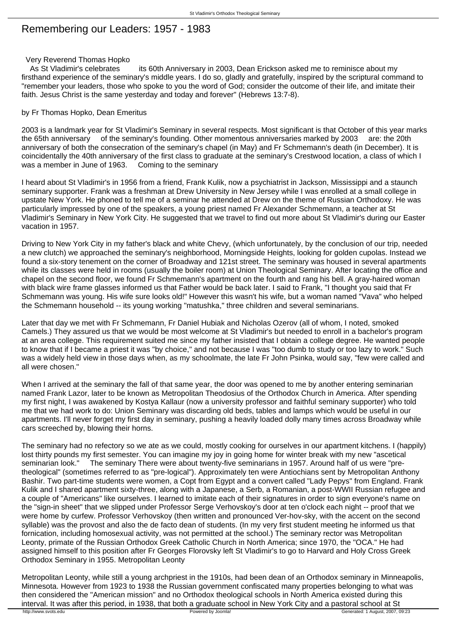## Remembering our Leaders: 1957 - 1983

## Very Reverend Thomas Hopko

As St Vladimir's celebrates its 60th Anniversary in 2003, Dean Erickson asked me to reminisce about my firsthand experience of the seminary's middle years. I do so, gladly and gratefully, inspired by the scriptural command to "remember your leaders, those who spoke to you the word of God; consider the outcome of their life, and imitate their faith. Jesus Christ is the same yesterday and today and forever" (Hebrews 13:7-8).

## by Fr Thomas Hopko, Dean Emeritus

2003 is a landmark year for St Vladimir's Seminary in several respects. Most significant is that October of this year marks the 65th anniversary of the seminary's founding. Other momentous anniversaries marked by 2003 are: the 20th anniversary of both the consecration of the seminary's chapel (in May) and Fr Schmemann's death (in December). It is coincidentally the 40th anniversary of the first class to graduate at the seminary's Crestwood location, a class of which I was a member in June of 1963. Coming to the seminary

I heard about St Vladimir's in 1956 from a friend, Frank Kulik, now a psychiatrist in Jackson, Mississippi and a staunch seminary supporter. Frank was a freshman at Drew University in New Jersey while I was enrolled at a small college in upstate New York. He phoned to tell me of a seminar he attended at Drew on the theme of Russian Orthodoxy. He was particularly impressed by one of the speakers, a young priest named Fr Alexander Schmemann, a teacher at St Vladimir's Seminary in New York City. He suggested that we travel to find out more about St Vladimir's during our Easter vacation in 1957.

Driving to New York City in my father's black and white Chevy, (which unfortunately, by the conclusion of our trip, needed a new clutch) we approached the seminary's neighborhood, Morningside Heights, looking for golden cupolas. Instead we found a six-story tenement on the corner of Broadway and 121st street. The seminary was housed in several apartments while its classes were held in rooms (usually the boiler room) at Union Theological Seminary. After locating the office and chapel on the second floor, we found Fr Schmemann's apartment on the fourth and rang his bell. A gray-haired woman with black wire frame glasses informed us that Father would be back later. I said to Frank, "I thought you said that Fr Schmemann was young. His wife sure looks old!" However this wasn't his wife, but a woman named "Vava" who helped the Schmemann household -- its young working "matushka," three children and several seminarians.

Later that day we met with Fr Schmemann, Fr Daniel Hubiak and Nicholas Ozerov (all of whom, I noted, smoked Camels.) They assured us that we would be most welcome at St Vladimir's but needed to enroll in a bachelor's program at an area college. This requirement suited me since my father insisted that I obtain a college degree. He wanted people to know that if I became a priest it was "by choice," and not because I was "too dumb to study or too lazy to work." Such was a widely held view in those days when, as my schoolmate, the late Fr John Psinka, would say, "few were called and all were chosen."

When I arrived at the seminary the fall of that same year, the door was opened to me by another entering seminarian named Frank Lazor, later to be known as Metropolitan Theodosius of the Orthodox Church in America. After spending my first night, I was awakened by Kostya Kallaur (now a university professor and faithful seminary supporter) who told me that we had work to do: Union Seminary was discarding old beds, tables and lamps which would be useful in our apartments. I'll never forget my first day in seminary, pushing a heavily loaded dolly many times across Broadway while cars screeched by, blowing their horns.

The seminary had no refectory so we ate as we could, mostly cooking for ourselves in our apartment kitchens. I (happily) lost thirty pounds my first semester. You can imagine my joy in going home for winter break with my new "ascetical<br>seminarian look." The seminary There were about twenty-five seminarians in 1957. Around half of us were "pr The seminary There were about twenty-five seminarians in 1957. Around half of us were "pretheological" (sometimes referred to as "pre-logical"). Approximately ten were Antiochians sent by Metropolitan Anthony Bashir. Two part-time students were women, a Copt from Egypt and a convert called "Lady Pepys" from England. Frank Kulik and I shared apartment sixty-three, along with a Japanese, a Serb, a Romanian, a post-WWII Russian refugee and a couple of "Americans" like ourselves. I learned to imitate each of their signatures in order to sign everyone's name on the "sign-in sheet" that we slipped under Professor Serge Verhovskoy's door at ten o'clock each night -- proof that we were home by curfew. Professor Verhovskoy (then written and pronounced Ver-hov-sky, with the accent on the second syllable) was the provost and also the de facto dean of students. (In my very first student meeting he informed us that fornication, including homosexual activity, was not permitted at the school.) The seminary rector was Metropolitan Leonty, primate of the Russian Orthodox Greek Catholic Church in North America; since 1970, the "OCA." He had assigned himself to this position after Fr Georges Florovsky left St Vladimir's to go to Harvard and Holy Cross Greek Orthodox Seminary in 1955. Metropolitan Leonty

Metropolitan Leonty, while still a young archpriest in the 1910s, had been dean of an Orthodox seminary in Minneapolis, Minnesota. However from 1923 to 1938 the Russian government confiscated many properties belonging to what was then considered the "American mission" and no Orthodox theological schools in North America existed during this interval. It was after this period, in 1938, that both a graduate school in New York City and a pastoral school at St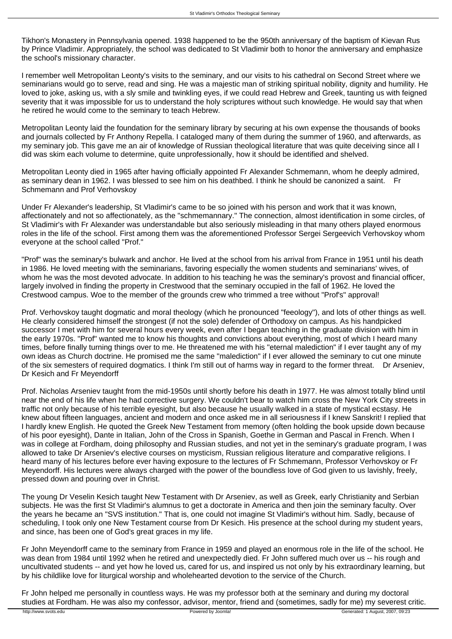Tikhon's Monastery in Pennsylvania opened. 1938 happened to be the 950th anniversary of the baptism of Kievan Rus by Prince Vladimir. Appropriately, the school was dedicated to St Vladimir both to honor the anniversary and emphasize the school's missionary character.

I remember well Metropolitan Leonty's visits to the seminary, and our visits to his cathedral on Second Street where we seminarians would go to serve, read and sing. He was a majestic man of striking spiritual nobility, dignity and humility. He loved to joke, asking us, with a sly smile and twinkling eyes, if we could read Hebrew and Greek, taunting us with feigned severity that it was impossible for us to understand the holy scriptures without such knowledge. He would say that when he retired he would come to the seminary to teach Hebrew.

Metropolitan Leonty laid the foundation for the seminary library by securing at his own expense the thousands of books and journals collected by Fr Anthony Repella. I cataloged many of them during the summer of 1960, and afterwards, as my seminary job. This gave me an air of knowledge of Russian theological literature that was quite deceiving since all I did was skim each volume to determine, quite unprofessionally, how it should be identified and shelved.

Metropolitan Leonty died in 1965 after having officially appointed Fr Alexander Schmemann, whom he deeply admired, as seminary dean in 1962. I was blessed to see him on his deathbed. I think he should be canonized a saint. Fr Schmemann and Prof Verhovskoy

Under Fr Alexander's leadership, St Vladimir's came to be so joined with his person and work that it was known, affectionately and not so affectionately, as the "schmemannary." The connection, almost identification in some circles, of St Vladimir's with Fr Alexander was understandable but also seriously misleading in that many others played enormous roles in the life of the school. First among them was the aforementioned Professor Sergei Sergeevich Verhovskoy whom everyone at the school called "Prof."

"Prof" was the seminary's bulwark and anchor. He lived at the school from his arrival from France in 1951 until his death in 1986. He loved meeting with the seminarians, favoring especially the women students and seminarians' wives, of whom he was the most devoted advocate. In addition to his teaching he was the seminary's provost and financial officer, largely involved in finding the property in Crestwood that the seminary occupied in the fall of 1962. He loved the Crestwood campus. Woe to the member of the grounds crew who trimmed a tree without "Prof's" approval!

Prof. Verhovskoy taught dogmatic and moral theology (which he pronounced "feeology"), and lots of other things as well. He clearly considered himself the strongest (if not the sole) defender of Orthodoxy on campus. As his handpicked successor I met with him for several hours every week, even after I began teaching in the graduate division with him in the early 1970s. "Prof" wanted me to know his thoughts and convictions about everything, most of which I heard many times, before finally turning things over to me. He threatened me with his "eternal malediction" if I ever taught any of my own ideas as Church doctrine. He promised me the same "malediction" if I ever allowed the seminary to cut one minute of the six semesters of required dogmatics. I think I'm still out of harms way in regard to the former threat. Dr Arseniev, Dr Kesich and Fr Meyendorff

Prof. Nicholas Arseniev taught from the mid-1950s until shortly before his death in 1977. He was almost totally blind until near the end of his life when he had corrective surgery. We couldn't bear to watch him cross the New York City streets in traffic not only because of his terrible eyesight, but also because he usually walked in a state of mystical ecstasy. He knew about fifteen languages, ancient and modern and once asked me in all seriousness if I knew Sanskrit! I replied that I hardly knew English. He quoted the Greek New Testament from memory (often holding the book upside down because of his poor eyesight), Dante in Italian, John of the Cross in Spanish, Goethe in German and Pascal in French. When I was in college at Fordham, doing philosophy and Russian studies, and not yet in the seminary's graduate program, I was allowed to take Dr Arseniev's elective courses on mysticism, Russian religious literature and comparative religions. I heard many of his lectures before ever having exposure to the lectures of Fr Schmemann, Professor Verhovskoy or Fr Meyendorff. His lectures were always charged with the power of the boundless love of God given to us lavishly, freely, pressed down and pouring over in Christ.

The young Dr Veselin Kesich taught New Testament with Dr Arseniev, as well as Greek, early Christianity and Serbian subjects. He was the first St Vladimir's alumnus to get a doctorate in America and then join the seminary faculty. Over the years he became an "SVS institution." That is, one could not imagine St Vladimir's without him. Sadly, because of scheduling, I took only one New Testament course from Dr Kesich. His presence at the school during my student years, and since, has been one of God's great graces in my life.

Fr John Meyendorff came to the seminary from France in 1959 and played an enormous role in the life of the school. He was dean from 1984 until 1992 when he retired and unexpectedly died. Fr John suffered much over us -- his rough and uncultivated students -- and yet how he loved us, cared for us, and inspired us not only by his extraordinary learning, but by his childlike love for liturgical worship and wholehearted devotion to the service of the Church.

Fr John helped me personally in countless ways. He was my professor both at the seminary and during my doctoral studies at Fordham. He was also my confessor, advisor, mentor, friend and (sometimes, sadly for me) my severest critic.